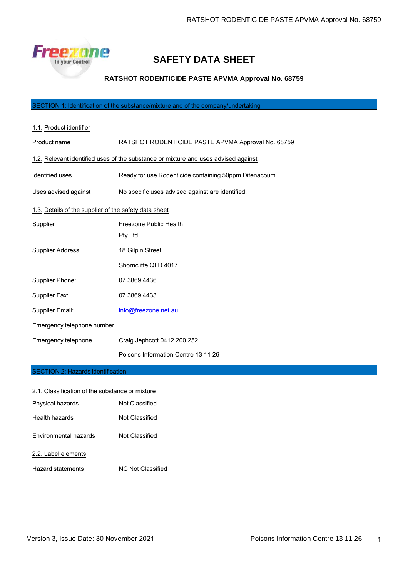

# **SAFETY DATA SHEET**

# **RATSHOT RODENTICIDE PASTE APVMA Approval No. 68759**

# SECTION 1: Identification of the substance/mixture and of the company/undertaking

| 1.1. Product identifier                                                            |                                                        |
|------------------------------------------------------------------------------------|--------------------------------------------------------|
| Product name                                                                       | RATSHOT RODENTICIDE PASTE APVMA Approval No. 68759     |
| 1.2. Relevant identified uses of the substance or mixture and uses advised against |                                                        |
| Identified uses                                                                    | Ready for use Rodenticide containing 50ppm Difenacoum. |
| Uses advised against                                                               | No specific uses advised against are identified.       |
| 1.3. Details of the supplier of the safety data sheet                              |                                                        |
| Supplier                                                                           | Freezone Public Health                                 |
|                                                                                    | Pty Ltd                                                |
| Supplier Address:                                                                  | 18 Gilpin Street                                       |
|                                                                                    | Shorncliffe QLD 4017                                   |
| Supplier Phone:                                                                    | 07 3869 4436                                           |
| Supplier Fax:                                                                      | 07 3869 4433                                           |
| Supplier Email:                                                                    | info@freezone.net.au                                   |
| Emergency telephone number                                                         |                                                        |
| Emergency telephone                                                                | Craig Jephcott 0412 200 252                            |
|                                                                                    | Poisons Information Centre 13 11 26                    |

#### **ECTION 2: Hazards identification**

| 2.1. Classification of the substance or mixture |                   |
|-------------------------------------------------|-------------------|
| Physical hazards                                | Not Classified    |
| Health hazards                                  | Not Classified    |
| <b>Environmental hazards</b>                    | Not Classified    |
| 2.2. Label elements                             |                   |
| Hazard statements                               | NC Not Classified |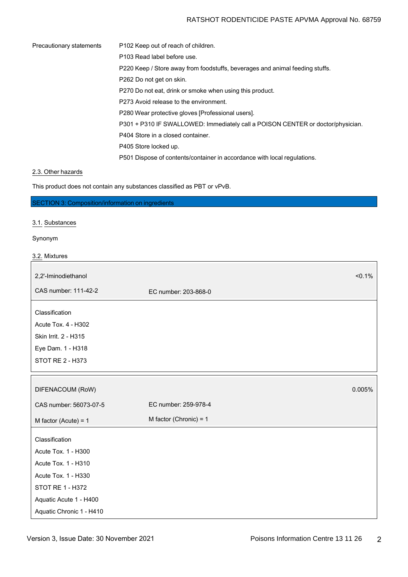# RATSHOT RODENTICIDE PASTE APVMA Approval No. 68759

| Precautionary statements | P <sub>102</sub> Keep out of reach of children.                                 |
|--------------------------|---------------------------------------------------------------------------------|
|                          | P103 Read label before use.                                                     |
|                          | P220 Keep / Store away from foodstuffs, beverages and animal feeding stuffs.    |
|                          | P262 Do not get on skin.                                                        |
|                          | P270 Do not eat, drink or smoke when using this product.                        |
|                          | P273 Avoid release to the environment.                                          |
|                          | P280 Wear protective gloves [Professional users].                               |
|                          | P301 + P310 IF SWALLOWED: Immediately call a POISON CENTER or doctor/physician. |
|                          | P404 Store in a closed container.                                               |
|                          | P405 Store locked up.                                                           |
|                          | P501 Dispose of contents/container in accordance with local regulations.        |

# 2.3. Other hazards

This product does not contain any substances classified as PBT or vPvB.

SECTION 3: Composition/information on ingredients

# 3.1. Substances

## Synonym

| $< 0.1\%$                |
|--------------------------|
| EC number: 203-868-0     |
|                          |
|                          |
|                          |
|                          |
|                          |
|                          |
| 0.005%                   |
| EC number: 259-978-4     |
| M factor (Chronic) = $1$ |
|                          |
|                          |
|                          |
|                          |
|                          |
|                          |
|                          |
|                          |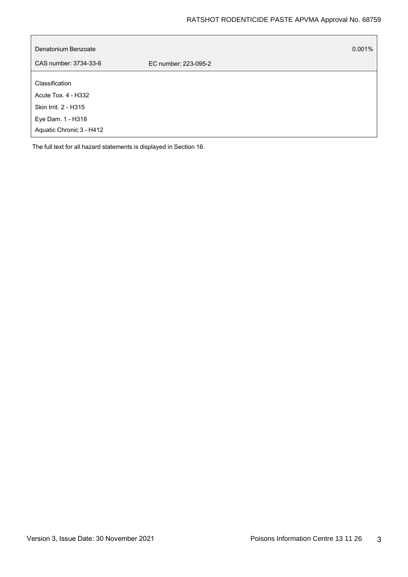| Denatonium Benzoate      | $0.001\%$            |
|--------------------------|----------------------|
| CAS number: 3734-33-6    | EC number: 223-095-2 |
| Classification           |                      |
| Acute Tox. 4 - H332      |                      |
| Skin Irrit. 2 - H315     |                      |
| Eye Dam. 1 - H318        |                      |
| Aquatic Chronic 3 - H412 |                      |

The full text for all hazard statements is displayed in Section 16.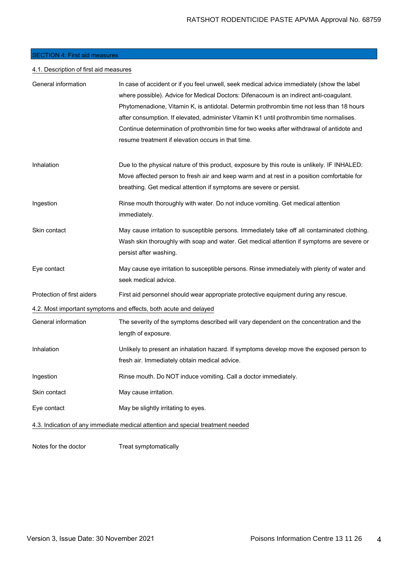# SECTION 4: First aid measures

# 4.1. Description of first aid measures

| General information        | In case of accident or if you feel unwell, seek medical advice immediately (show the label                          |
|----------------------------|---------------------------------------------------------------------------------------------------------------------|
|                            | where possible). Advice for Medical Doctors: Difenacoum is an indirect anti-coagulant.                              |
|                            | Phytomenadione, Vitamin K, is antidotal. Determin prothrombin time not less than 18 hours                           |
|                            | after consumption. If elevated, administer Vitamin K1 until prothrombin time normalises.                            |
|                            | Continue determination of prothrombin time for two weeks after withdrawal of antidote and                           |
|                            | resume treatment if elevation occurs in that time.                                                                  |
| Inhalation                 | Due to the physical nature of this product, exposure by this route is unlikely. IF INHALED:                         |
|                            | Move affected person to fresh air and keep warm and at rest in a position comfortable for                           |
|                            | breathing. Get medical attention if symptoms are severe or persist.                                                 |
| Ingestion                  | Rinse mouth thoroughly with water. Do not induce vomiting. Get medical attention<br>immediately.                    |
| Skin contact               | May cause irritation to susceptible persons. Immediately take off all contaminated clothing.                        |
|                            | Wash skin thoroughly with soap and water. Get medical attention if symptoms are severe or<br>persist after washing. |
| Eye contact                | May cause eye irritation to susceptible persons. Rinse immediately with plenty of water and<br>seek medical advice. |
| Protection of first aiders | First aid personnel should wear appropriate protective equipment during any rescue.                                 |
|                            | 4.2. Most important symptoms and effects, both acute and delayed                                                    |
| General information        | The severity of the symptoms described will vary dependent on the concentration and the<br>length of exposure.      |
| Inhalation                 | Unlikely to present an inhalation hazard. If symptoms develop move the exposed person to                            |
|                            | fresh air. Immediately obtain medical advice.                                                                       |
| Ingestion                  | Rinse mouth. Do NOT induce vomiting. Call a doctor immediately.                                                     |
| Skin contact               | May cause irritation.                                                                                               |
| Eye contact                | May be slightly irritating to eyes.                                                                                 |
|                            | 4.3. Indication of any immediate medical attention and special treatment needed                                     |
|                            |                                                                                                                     |

Notes for the doctor Treat symptomatically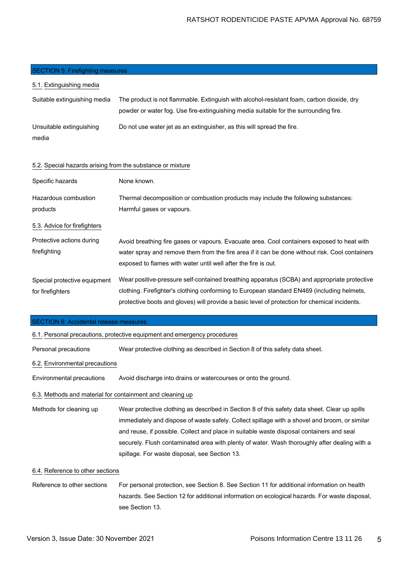#### **SECTION 5: Firefighting measures**

| 5.1. Extinguishing media                                   |                                                                                                                                                                                                                                                                                            |
|------------------------------------------------------------|--------------------------------------------------------------------------------------------------------------------------------------------------------------------------------------------------------------------------------------------------------------------------------------------|
| Suitable extinguishing media                               | The product is not flammable. Extinguish with alcohol-resistant foam, carbon dioxide, dry<br>powder or water fog. Use fire-extinguishing media suitable for the surrounding fire.                                                                                                          |
| Unsuitable extinguishing<br>media                          | Do not use water jet as an extinguisher, as this will spread the fire.                                                                                                                                                                                                                     |
| 5.2. Special hazards arising from the substance or mixture |                                                                                                                                                                                                                                                                                            |
| Specific hazards                                           | None known.                                                                                                                                                                                                                                                                                |
| Hazardous combustion<br>products                           | Thermal decomposition or combustion products may include the following substances:<br>Harmful gases or vapours.                                                                                                                                                                            |
| 5.3. Advice for firefighters                               |                                                                                                                                                                                                                                                                                            |
| Protective actions during<br>firefighting                  | Avoid breathing fire gases or vapours. Evacuate area. Cool containers exposed to heat with<br>water spray and remove them from the fire area if it can be done without risk. Cool containers<br>exposed to flames with water until well after the fire is out.                             |
| Special protective equipment<br>for firefighters           | Wear positive-pressure self-contained breathing apparatus (SCBA) and appropriate protective<br>clothing. Firefighter's clothing conforming to European standard EN469 (including helmets,<br>protective boots and gloves) will provide a basic level of protection for chemical incidents. |
| SECTION 6: Accidental release measures                     |                                                                                                                                                                                                                                                                                            |

#### SECTION 6: Accidental release measures

6.1. Personal precautions, protective equipment and emergency procedures

Personal precautions Wear protective clothing as described in Section 8 of this safety data sheet.

#### 6.2. Environmental precautions

Environmental precautions Avoid discharge into drains or watercourses or onto the ground.

### 6.3. Methods and material for containment and cleaning up

Methods for cleaning up Wear protective clothing as described in Section 8 of this safety data sheet. Clear up spills immediately and dispose of waste safely. Collect spillage with a shovel and broom, or similar and reuse, if possible. Collect and place in suitable waste disposal containers and seal securely. Flush contaminated area with plenty of water. Wash thoroughly after dealing with a spillage. For waste disposal, see Section 13.

#### 6.4. Reference to other sections

Reference to other sections For personal protection, see Section 8. See Section 11 for additional information on health hazards. See Section 12 for additional information on ecological hazards. For waste disposal, see Section 13.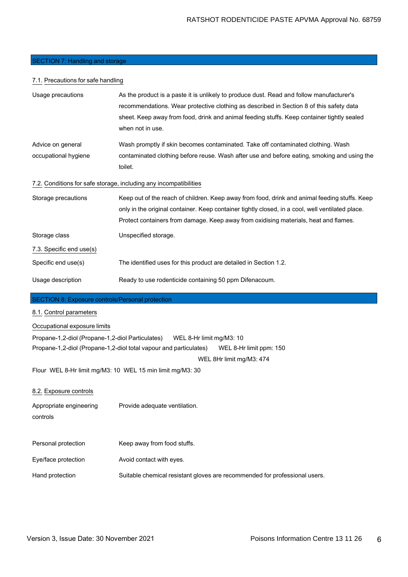#### SECTION 7: Handling and storage

#### 7.1. Precautions for safe handling

| Usage precautions                                       | As the product is a paste it is unlikely to produce dust. Read and follow manufacturer's         |
|---------------------------------------------------------|--------------------------------------------------------------------------------------------------|
|                                                         | recommendations. Wear protective clothing as described in Section 8 of this safety data          |
|                                                         | sheet. Keep away from food, drink and animal feeding stuffs. Keep container tightly sealed       |
|                                                         | when not in use.                                                                                 |
| Advice on general                                       | Wash promptly if skin becomes contaminated. Take off contaminated clothing. Wash                 |
| occupational hygiene                                    | contaminated clothing before reuse. Wash after use and before eating, smoking and using the      |
|                                                         | toilet.                                                                                          |
|                                                         | 7.2. Conditions for safe storage, including any incompatibilities                                |
| Storage precautions                                     | Keep out of the reach of children. Keep away from food, drink and animal feeding stuffs. Keep    |
|                                                         | only in the original container. Keep container tightly closed, in a cool, well ventilated place. |
|                                                         | Protect containers from damage. Keep away from oxidising materials, heat and flames.             |
| Storage class                                           | Unspecified storage.                                                                             |
| 7.3. Specific end use(s)                                |                                                                                                  |
| Specific end use(s)                                     | The identified uses for this product are detailed in Section 1.2.                                |
| Usage description                                       | Ready to use rodenticide containing 50 ppm Difenacoum.                                           |
| <b>SECTION 8: Exposure controls/Personal protection</b> |                                                                                                  |

# 8.1. Control parameters

## Occupational exposure limits

Propane-1,2-diol (Propane-1,2-diol Particulates) WEL 8-Hr limit mg/M3: 10 Propane-1,2-diol (Propane-1,2-diol total vapour and particulates) WEL 8-Hr limit ppm: 150 WEL 8Hr limit mg/M3: 474

Flour WEL 8-Hr limit mg/M3: 10 WEL 15 min limit mg/M3: 30

#### 8.2. Exposure controls

Appropriate engineering Provide adequate ventilation.

```
controls
```
- Personal protection Keep away from food stuffs.
- Eye/face protection **Avoid contact with eyes.**
- Hand protection Suitable chemical resistant gloves are recommended for professional users.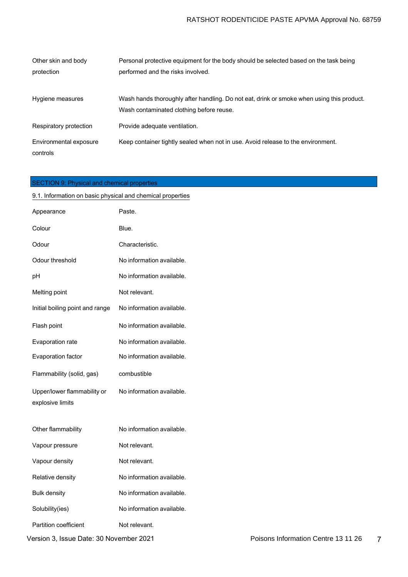| Other skin and body    | Personal protective equipment for the body should be selected based on the task being     |
|------------------------|-------------------------------------------------------------------------------------------|
| protection             | performed and the risks involved.                                                         |
|                        |                                                                                           |
| Hygiene measures       | Wash hands thoroughly after handling. Do not eat, drink or smoke when using this product. |
|                        | Wash contaminated clothing before reuse.                                                  |
| Respiratory protection | Provide adequate ventilation.                                                             |
| Environmental exposure | Keep container tightly sealed when not in use. Avoid release to the environment.          |
| controls               |                                                                                           |

# SECTION 9: Physical and chemical properties

| 9.1. Information on basic physical and chemical properties |                           |  |
|------------------------------------------------------------|---------------------------|--|
| Appearance                                                 | Paste.                    |  |
| Colour                                                     | Blue.                     |  |
| Odour                                                      | Characteristic.           |  |
| Odour threshold                                            | No information available. |  |
| рH                                                         | No information available. |  |
| Melting point                                              | Not relevant.             |  |
| Initial boiling point and range                            | No information available. |  |
| Flash point                                                | No information available. |  |
| Evaporation rate                                           | No information available. |  |
| Evaporation factor                                         | No information available. |  |
|                                                            |                           |  |
| Flammability (solid, gas)                                  | combustible               |  |
| Upper/lower flammability or<br>explosive limits            | No information available. |  |
| Other flammability                                         | No information available. |  |
| Vapour pressure                                            | Not relevant.             |  |
| Vapour density                                             | Not relevant.             |  |
| Relative density                                           | No information available. |  |
| Bulk density                                               | No information available. |  |
| Solubility(ies)                                            | No information available. |  |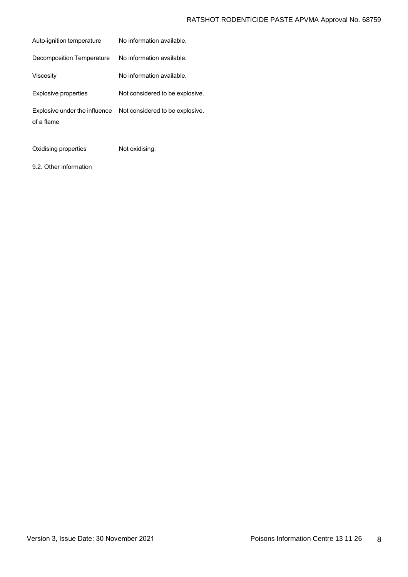| No information available.       |
|---------------------------------|
| No information available.       |
| No information available.       |
| Not considered to be explosive. |
| Not considered to be explosive. |
|                                 |

Oxidising properties Not oxidising.

9.2. Other information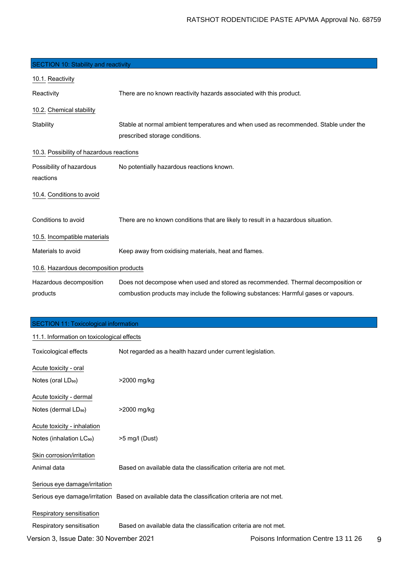| <b>SECTION 10: Stability and reactivity</b> |                                                                                                                        |
|---------------------------------------------|------------------------------------------------------------------------------------------------------------------------|
| 10.1. Reactivity                            |                                                                                                                        |
| Reactivity                                  | There are no known reactivity hazards associated with this product.                                                    |
| 10.2. Chemical stability                    |                                                                                                                        |
| Stability                                   | Stable at normal ambient temperatures and when used as recommended. Stable under the<br>prescribed storage conditions. |
| 10.3. Possibility of hazardous reactions    |                                                                                                                        |
| Possibility of hazardous<br>reactions       | No potentially hazardous reactions known.                                                                              |
| 10.4. Conditions to avoid                   |                                                                                                                        |
| Conditions to avoid                         | There are no known conditions that are likely to result in a hazardous situation.                                      |
| 10.5. Incompatible materials                |                                                                                                                        |
| Materials to avoid                          | Keep away from oxidising materials, heat and flames.                                                                   |
| 10.6. Hazardous decomposition products      |                                                                                                                        |
| Hazardous decomposition                     | Does not decompose when used and stored as recommended. Thermal decomposition or                                       |
| products                                    | combustion products may include the following substances: Harmful gases or vapours.                                    |

| <b>SECTION 11: Toxicological information</b> |                                                                                                |                                     |
|----------------------------------------------|------------------------------------------------------------------------------------------------|-------------------------------------|
| 11.1. Information on toxicological effects   |                                                                                                |                                     |
| Toxicological effects                        | Not regarded as a health hazard under current legislation.                                     |                                     |
| Acute toxicity - oral                        |                                                                                                |                                     |
| Notes (oral LD <sub>50</sub> )               | >2000 mg/kg                                                                                    |                                     |
| Acute toxicity - dermal                      |                                                                                                |                                     |
| Notes (dermal LD <sub>50</sub> )             | >2000 mg/kg                                                                                    |                                     |
| Acute toxicity - inhalation                  |                                                                                                |                                     |
| Notes (inhalation LC <sub>50</sub> )         | >5 mg/l (Dust)                                                                                 |                                     |
| Skin corrosion/irritation                    |                                                                                                |                                     |
| Animal data                                  | Based on available data the classification criteria are not met.                               |                                     |
| Serious eye damage/irritation                |                                                                                                |                                     |
|                                              | Serious eye damage/irritation Based on available data the classification criteria are not met. |                                     |
| Respiratory sensitisation                    |                                                                                                |                                     |
| Respiratory sensitisation                    | Based on available data the classification criteria are not met.                               |                                     |
| Version 3, Issue Date: 30 November 2021      |                                                                                                | Poisons Information Centre 13 11 26 |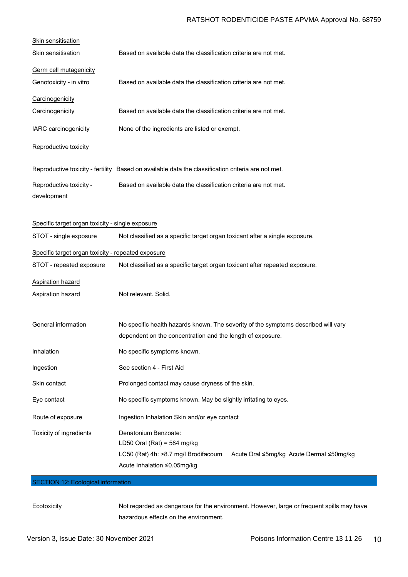# RATSHOT RODENTICIDE PASTE APVMA Approval No. 68759

| Skin sensitisation                                 |                                                                                                                                                                        |
|----------------------------------------------------|------------------------------------------------------------------------------------------------------------------------------------------------------------------------|
| Skin sensitisation                                 | Based on available data the classification criteria are not met.                                                                                                       |
| Germ cell mutagenicity                             |                                                                                                                                                                        |
| Genotoxicity - in vitro                            | Based on available data the classification criteria are not met.                                                                                                       |
| Carcinogenicity                                    |                                                                                                                                                                        |
| Carcinogenicity                                    | Based on available data the classification criteria are not met.                                                                                                       |
| IARC carcinogenicity                               | None of the ingredients are listed or exempt.                                                                                                                          |
| Reproductive toxicity                              |                                                                                                                                                                        |
|                                                    | Reproductive toxicity - fertility Based on available data the classification criteria are not met.                                                                     |
| Reproductive toxicity -<br>development             | Based on available data the classification criteria are not met.                                                                                                       |
| Specific target organ toxicity - single exposure   |                                                                                                                                                                        |
| STOT - single exposure                             | Not classified as a specific target organ toxicant after a single exposure.                                                                                            |
| Specific target organ toxicity - repeated exposure |                                                                                                                                                                        |
| STOT - repeated exposure                           | Not classified as a specific target organ toxicant after repeated exposure.                                                                                            |
| Aspiration hazard                                  |                                                                                                                                                                        |
| Aspiration hazard                                  | Not relevant. Solid.                                                                                                                                                   |
| General information                                | No specific health hazards known. The severity of the symptoms described will vary<br>dependent on the concentration and the length of exposure.                       |
| Inhalation                                         | No specific symptoms known.                                                                                                                                            |
| Ingestion                                          | See section 4 - First Aid                                                                                                                                              |
| Skin contact                                       | Prolonged contact may cause dryness of the skin.                                                                                                                       |
| Eye contact                                        | No specific symptoms known. May be slightly irritating to eyes.                                                                                                        |
| Route of exposure                                  | Ingestion Inhalation Skin and/or eye contact                                                                                                                           |
| Toxicity of ingredients                            | Denatonium Benzoate:<br>LD50 Oral (Rat) = 584 mg/kg<br>LC50 (Rat) 4h: >8.7 mg/l Brodifacoum<br>Acute Oral ≤5mg/kg Acute Dermal ≤50mg/kg<br>Acute Inhalation ≤0.05mg/kg |
| <b>SECTION 12: Ecological information</b>          |                                                                                                                                                                        |

Ecotoxicity Not regarded as dangerous for the environment. However, large or frequent spills may have hazardous effects on the environment.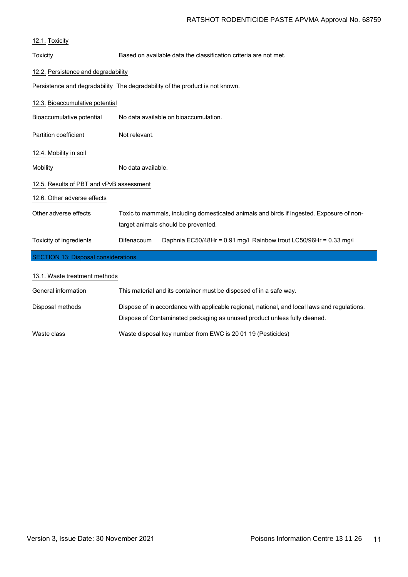| Toxicity                                 | Based on available data the classification criteria are not met.             |  |
|------------------------------------------|------------------------------------------------------------------------------|--|
| 12.2. Persistence and degradability      |                                                                              |  |
|                                          | Persistence and degradability The degradability of the product is not known. |  |
| 12.3. Bioaccumulative potential          |                                                                              |  |
| Bioaccumulative potential                | No data available on bioaccumulation.                                        |  |
| Partition coefficient                    | Not relevant.                                                                |  |
| 12.4. Mobility in soil                   |                                                                              |  |
| Mobility                                 | No data available.                                                           |  |
| 12.5. Results of PBT and vPvB assessment |                                                                              |  |
| 12.6. Other adverse effects              |                                                                              |  |

| Other adverse effects   |                   | Toxic to mammals, including domesticated animals and birds if ingested. Exposure of non- |
|-------------------------|-------------------|------------------------------------------------------------------------------------------|
|                         |                   | target animals should be prevented.                                                      |
| Toxicity of ingredients | <b>Difenacoum</b> | Daphnia EC50/48Hr = 0.91 mg/l Rainbow trout LC50/96Hr = 0.33 mg/l                        |

# SECTION 13: Disposal considerations

| 13.1. Waste treatment methods |                                                                                                                                                                           |
|-------------------------------|---------------------------------------------------------------------------------------------------------------------------------------------------------------------------|
| General information           | This material and its container must be disposed of in a safe way.                                                                                                        |
| Disposal methods              | Dispose of in accordance with applicable regional, national, and local laws and regulations.<br>Dispose of Contaminated packaging as unused product unless fully cleaned. |
| Waste class                   | Waste disposal key number from EWC is 20 01 19 (Pesticides)                                                                                                               |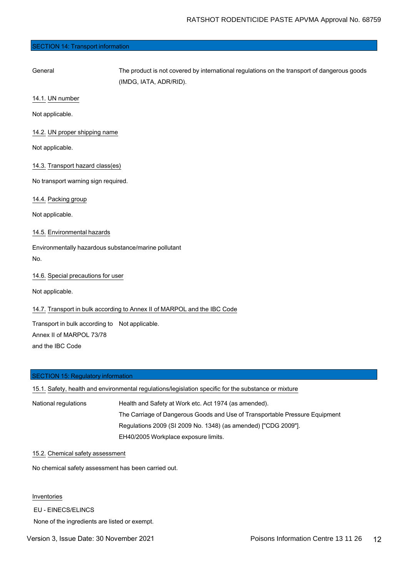#### SECTION 14: Transport information

General The product is not covered by international regulations on the transport of dangerous goods (IMDG, IATA, ADR/RID).

14.1. UN number

Not applicable.

14.2. UN proper shipping name

Not applicable.

14.3. Transport hazard class(es)

No transport warning sign required.

14.4. Packing group

Not applicable.

14.5. Environmental hazards

Environmentally hazardous substance/marine pollutant No.

14.6. Special precautions for user

Not applicable.

14.7. Transport in bulk according to Annex II of MARPOL and the IBC Code

Transport in bulk according to Not applicable. Annex II of MARPOL 73/78 and the IBC Code

#### SECTION 15: Regulatory information

|                      | 15.1. Safety, health and environmental regulations/legislation specific for the substance or mixture |
|----------------------|------------------------------------------------------------------------------------------------------|
| National regulations | Health and Safety at Work etc. Act 1974 (as amended).                                                |
|                      | The Carriage of Dangerous Goods and Use of Transportable Pressure Equipment                          |
|                      | Regulations 2009 (SI 2009 No. 1348) (as amended) ["CDG 2009"].                                       |
|                      | EH40/2005 Workplace exposure limits.                                                                 |

#### 15.2. Chemical safety assessment

No chemical safety assessment has been carried out.

Inventories

EU - EINECS/ELINCS

None of the ingredients are listed or exempt.